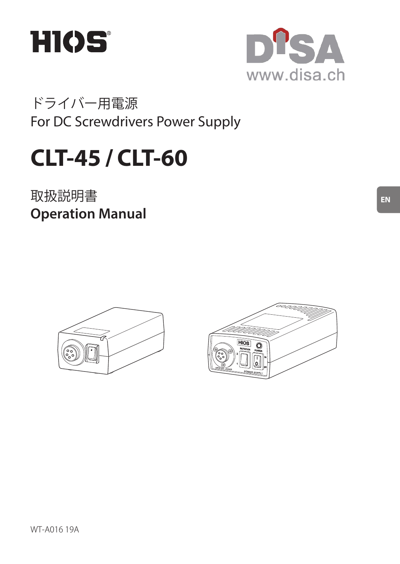



ドライバー用電源 For DC Screwdrivers Power Supply

# **CLT-45 / CLT-60**

取扱説明書 **Operation Manual**



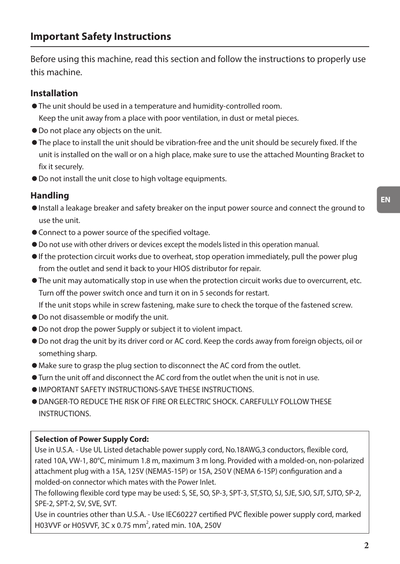Before using this machine, read this section and follow the instructions to properly use this machine.

#### **Installation**

- The unit should be used in a temperature and humidity-controlled room. Keep the unit away from a place with poor ventilation, in dust or metal pieces.
- ◦Do not place any objects on the unit.
- The place to install the unit should be vibration-free and the unit should be securely fixed. If the unit is installed on the wall or on a high place, make sure to use the attached Mounting Bracket to fix it securely.
- ◦Do not install the unit close to high voltage equipments.

#### **Handling**

- ◦Install a leakage breaker and safety breaker on the input power source and connect the ground to use the unit.
- Connect to a power source of the specified voltage.
- ◦Do not use with other drivers or devices except the models listed in this operation manual.
- If the protection circuit works due to overheat, stop operation immediately, pull the power plug from the outlet and send it back to your HIOS distributor for repair.
- The unit may automatically stop in use when the protection circuit works due to overcurrent, etc. Turn off the power switch once and turn it on in 5 seconds for restart.

If the unit stops while in screw fastening, make sure to check the torque of the fastened screw.

- ◦Do not disassemble or modify the unit.
- ◦Do not drop the power Supply or subject it to violent impact.
- ◦Do not drag the unit by its driver cord or AC cord. Keep the cords away from foreign objects, oil or something sharp.
- ◦Make sure to grasp the plug section to disconnect the AC cord from the outlet.
- Turn the unit off and disconnect the AC cord from the outlet when the unit is not in use.
- ◦IMPORTANT SAFETY INSTRUCTIONS-SAVE THESE INSTRUCTIONS.
- ◦DANGER-TO REDUCE THE RISK OF FIRE OR ELECTRIC SHOCK. CAREFULLY FOLLOW THESE **INSTRUCTIONS**

#### **Selection of Power Supply Cord:**

Use in U.S.A. - Use UL Listed detachable power supply cord, No.18AWG,3 conductors, flexible cord, rated 10A, VW-1, 80°C, minimum 1.8 m, maximum 3 m long. Provided with a molded-on, non-polarized attachment plug with a 15A, 125V (NEMA5-15P) or 15A, 250 V (NEMA 6-15P) configuration and a molded-on connector which mates with the Power Inlet.

The following flexible cord type may be used: S, SE, SO, SP-3, SPT-3, ST,STO, SJ, SJE, SJO, SJT, SJTO, SP-2, SPE-2, SPT-2, SV, SVE, SVT.

Use in countries other than U.S.A. - Use IEC60227 certified PVC flexible power supply cord, marked H03VVF or H05VVF, 3C x 0.75 mm<sup>2</sup>, rated min. 10A, 250V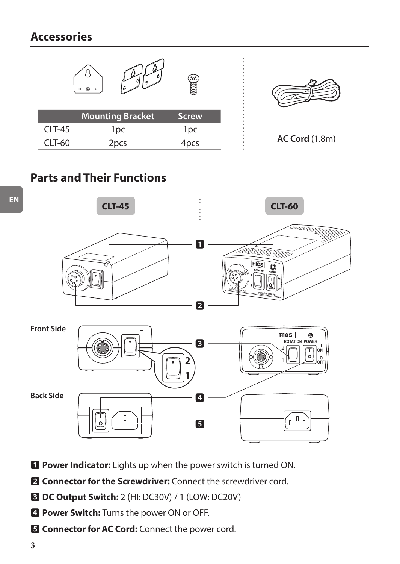### **Accessories**



## **Parts and Their Functions**



- **1** Power Indicator: Lights up when the power switch is turned ON.
- **2** Connector for the Screwdriver: Connect the screwdriver cord.
- 3 **DC Output Switch:** 2 (HI: DC30V)/ 1 (LOW: DC20V)
- 4 **Power Switch:** Turns the power ON or OFF.
- $\blacksquare$  Connector for AC Cord: Connect the power cord.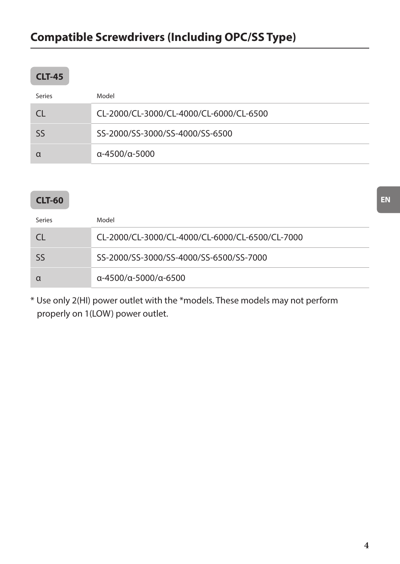# **Compatible Screwdrivers (Including OPC/SS Type)**

### **CLT-45**

| Series | Model                                   |
|--------|-----------------------------------------|
|        | CL-2000/CL-3000/CL-4000/CL-6000/CL-6500 |
| Sς     | SS-2000/SS-3000/SS-4000/SS-6500         |
|        | $\alpha$ -4500/ $\alpha$ -5000          |

### **CLT-60**

| Series | Model                                           |
|--------|-------------------------------------------------|
|        | CL-2000/CL-3000/CL-4000/CL-6000/CL-6500/CL-7000 |
|        | SS-2000/SS-3000/SS-4000/SS-6500/SS-7000         |
|        | α-4500/α-5000/α-6500                            |

\* Use only 2(HI) power outlet with the \*models. These models may not perform properly on 1(LOW) power outlet.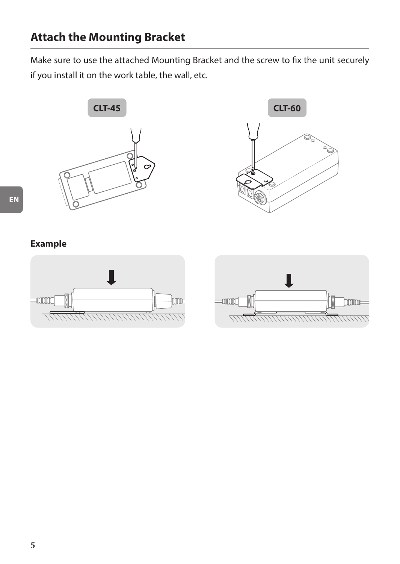Make sure to use the attached Mounting Bracket and the screw to fix the unit securely if you install it on the work table, the wall, etc.





### **Example**

**EN**